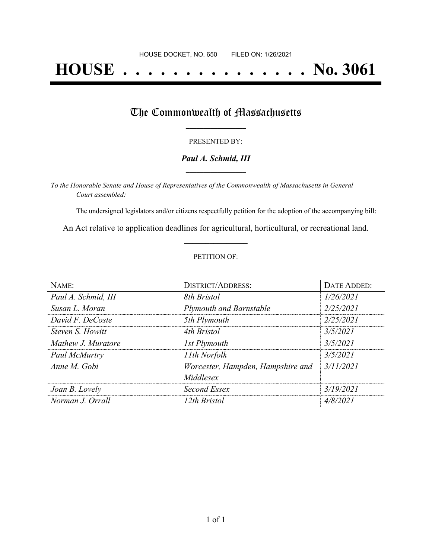# **HOUSE . . . . . . . . . . . . . . . No. 3061**

## The Commonwealth of Massachusetts

#### PRESENTED BY:

#### *Paul A. Schmid, III* **\_\_\_\_\_\_\_\_\_\_\_\_\_\_\_\_\_**

*To the Honorable Senate and House of Representatives of the Commonwealth of Massachusetts in General Court assembled:*

The undersigned legislators and/or citizens respectfully petition for the adoption of the accompanying bill:

An Act relative to application deadlines for agricultural, horticultural, or recreational land. **\_\_\_\_\_\_\_\_\_\_\_\_\_\_\_**

#### PETITION OF:

| NAME:                   | <b>DISTRICT/ADDRESS:</b>                       | DATE ADDED: |
|-------------------------|------------------------------------------------|-------------|
| Paul A. Schmid, III     | 8th Bristol                                    | 1/26/2021   |
| Susan L. Moran          | <b>Plymouth and Barnstable</b>                 | 2/25/2021   |
| David F. DeCoste        | 5th Plymouth                                   | 2/25/2021   |
| <i>Steven S. Howitt</i> | 4th Bristol                                    | 3/5/2021    |
| Mathew J. Muratore      | 1st Plymouth                                   | 3/5/2021    |
| Paul McMurtry           | 11th Norfolk                                   | 3/5/2021    |
| Anne M. Gobi            | Worcester, Hampden, Hampshire and<br>Middlesex | 3/11/2021   |
| Joan B. Lovely          | Second Essex                                   | 3/19/2021   |
| Norman J. Orrall        | 12th Bristol                                   | 4/8/2021    |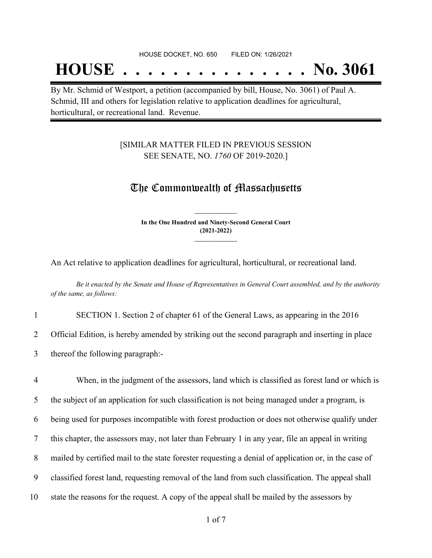## **HOUSE . . . . . . . . . . . . . . . No. 3061**

By Mr. Schmid of Westport, a petition (accompanied by bill, House, No. 3061) of Paul A. Schmid, III and others for legislation relative to application deadlines for agricultural, horticultural, or recreational land. Revenue.

### [SIMILAR MATTER FILED IN PREVIOUS SESSION SEE SENATE, NO. *1760* OF 2019-2020.]

## The Commonwealth of Massachusetts

**In the One Hundred and Ninety-Second General Court (2021-2022) \_\_\_\_\_\_\_\_\_\_\_\_\_\_\_**

**\_\_\_\_\_\_\_\_\_\_\_\_\_\_\_**

An Act relative to application deadlines for agricultural, horticultural, or recreational land.

Be it enacted by the Senate and House of Representatives in General Court assembled, and by the authority *of the same, as follows:*

1 SECTION 1. Section 2 of chapter 61 of the General Laws, as appearing in the 2016

2 Official Edition, is hereby amended by striking out the second paragraph and inserting in place

3 thereof the following paragraph:-

 When, in the judgment of the assessors, land which is classified as forest land or which is the subject of an application for such classification is not being managed under a program, is being used for purposes incompatible with forest production or does not otherwise qualify under this chapter, the assessors may, not later than February 1 in any year, file an appeal in writing mailed by certified mail to the state forester requesting a denial of application or, in the case of classified forest land, requesting removal of the land from such classification. The appeal shall state the reasons for the request. A copy of the appeal shall be mailed by the assessors by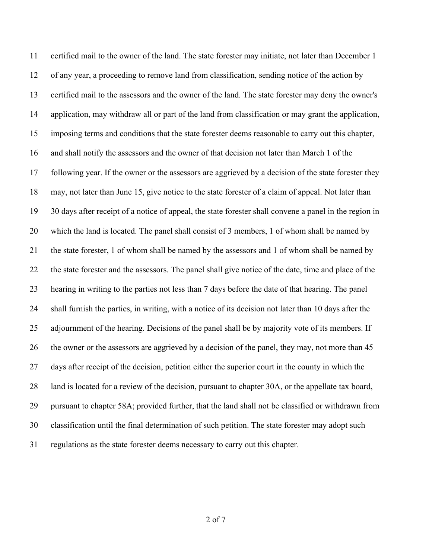certified mail to the owner of the land. The state forester may initiate, not later than December 1 of any year, a proceeding to remove land from classification, sending notice of the action by certified mail to the assessors and the owner of the land. The state forester may deny the owner's application, may withdraw all or part of the land from classification or may grant the application, imposing terms and conditions that the state forester deems reasonable to carry out this chapter, and shall notify the assessors and the owner of that decision not later than March 1 of the following year. If the owner or the assessors are aggrieved by a decision of the state forester they may, not later than June 15, give notice to the state forester of a claim of appeal. Not later than 30 days after receipt of a notice of appeal, the state forester shall convene a panel in the region in which the land is located. The panel shall consist of 3 members, 1 of whom shall be named by the state forester, 1 of whom shall be named by the assessors and 1 of whom shall be named by the state forester and the assessors. The panel shall give notice of the date, time and place of the hearing in writing to the parties not less than 7 days before the date of that hearing. The panel shall furnish the parties, in writing, with a notice of its decision not later than 10 days after the 25 adjournment of the hearing. Decisions of the panel shall be by majority vote of its members. If the owner or the assessors are aggrieved by a decision of the panel, they may, not more than 45 days after receipt of the decision, petition either the superior court in the county in which the land is located for a review of the decision, pursuant to chapter 30A, or the appellate tax board, pursuant to chapter 58A; provided further, that the land shall not be classified or withdrawn from classification until the final determination of such petition. The state forester may adopt such regulations as the state forester deems necessary to carry out this chapter.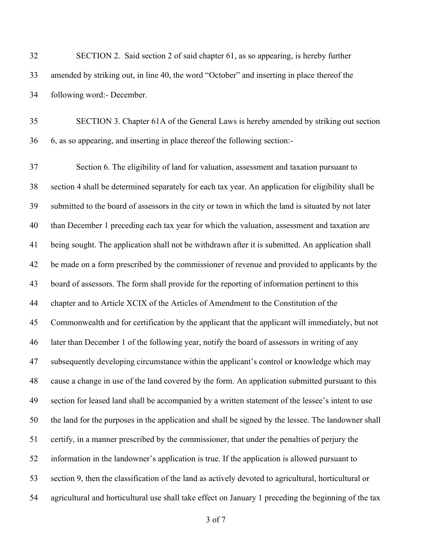| 32 | SECTION 2. Said section 2 of said chapter 61, as so appearing, is hereby further           |
|----|--------------------------------------------------------------------------------------------|
| 33 | amended by striking out, in line 40, the word "October" and inserting in place thereof the |
| 34 | following word: December.                                                                  |

 SECTION 3. Chapter 61A of the General Laws is hereby amended by striking out section 6, as so appearing, and inserting in place thereof the following section:-

 Section 6. The eligibility of land for valuation, assessment and taxation pursuant to section 4 shall be determined separately for each tax year. An application for eligibility shall be submitted to the board of assessors in the city or town in which the land is situated by not later than December 1 preceding each tax year for which the valuation, assessment and taxation are being sought. The application shall not be withdrawn after it is submitted. An application shall be made on a form prescribed by the commissioner of revenue and provided to applicants by the board of assessors. The form shall provide for the reporting of information pertinent to this chapter and to Article XCIX of the Articles of Amendment to the Constitution of the Commonwealth and for certification by the applicant that the applicant will immediately, but not later than December 1 of the following year, notify the board of assessors in writing of any subsequently developing circumstance within the applicant's control or knowledge which may cause a change in use of the land covered by the form. An application submitted pursuant to this section for leased land shall be accompanied by a written statement of the lessee's intent to use the land for the purposes in the application and shall be signed by the lessee. The landowner shall certify, in a manner prescribed by the commissioner, that under the penalties of perjury the information in the landowner's application is true. If the application is allowed pursuant to section 9, then the classification of the land as actively devoted to agricultural, horticultural or agricultural and horticultural use shall take effect on January 1 preceding the beginning of the tax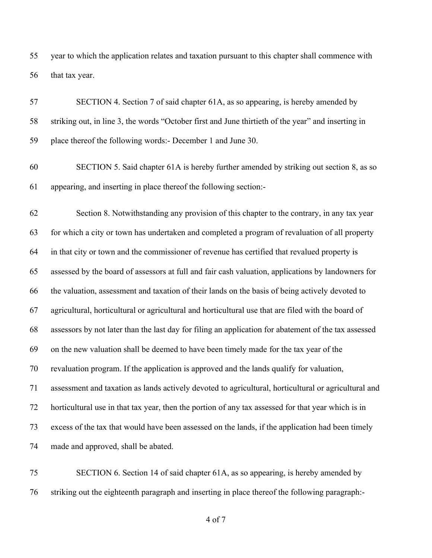year to which the application relates and taxation pursuant to this chapter shall commence with that tax year.

 SECTION 4. Section 7 of said chapter 61A, as so appearing, is hereby amended by striking out, in line 3, the words "October first and June thirtieth of the year" and inserting in place thereof the following words:- December 1 and June 30.

 SECTION 5. Said chapter 61A is hereby further amended by striking out section 8, as so appearing, and inserting in place thereof the following section:-

 Section 8. Notwithstanding any provision of this chapter to the contrary, in any tax year for which a city or town has undertaken and completed a program of revaluation of all property in that city or town and the commissioner of revenue has certified that revalued property is assessed by the board of assessors at full and fair cash valuation, applications by landowners for the valuation, assessment and taxation of their lands on the basis of being actively devoted to agricultural, horticultural or agricultural and horticultural use that are filed with the board of assessors by not later than the last day for filing an application for abatement of the tax assessed on the new valuation shall be deemed to have been timely made for the tax year of the revaluation program. If the application is approved and the lands qualify for valuation, assessment and taxation as lands actively devoted to agricultural, horticultural or agricultural and horticultural use in that tax year, then the portion of any tax assessed for that year which is in excess of the tax that would have been assessed on the lands, if the application had been timely made and approved, shall be abated.

 SECTION 6. Section 14 of said chapter 61A, as so appearing, is hereby amended by striking out the eighteenth paragraph and inserting in place thereof the following paragraph:-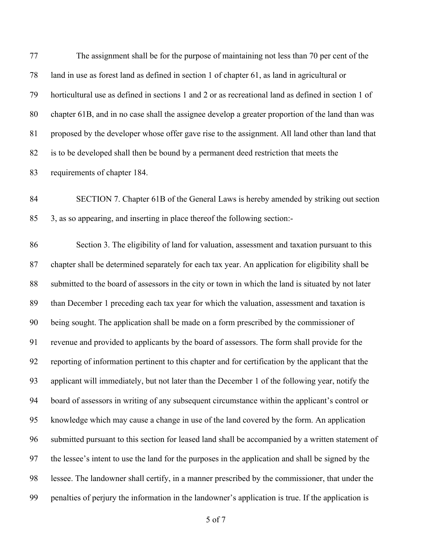The assignment shall be for the purpose of maintaining not less than 70 per cent of the land in use as forest land as defined in section 1 of chapter 61, as land in agricultural or horticultural use as defined in sections 1 and 2 or as recreational land as defined in section 1 of chapter 61B, and in no case shall the assignee develop a greater proportion of the land than was proposed by the developer whose offer gave rise to the assignment. All land other than land that is to be developed shall then be bound by a permanent deed restriction that meets the requirements of chapter 184.

 SECTION 7. Chapter 61B of the General Laws is hereby amended by striking out section 3, as so appearing, and inserting in place thereof the following section:-

 Section 3. The eligibility of land for valuation, assessment and taxation pursuant to this chapter shall be determined separately for each tax year. An application for eligibility shall be submitted to the board of assessors in the city or town in which the land is situated by not later than December 1 preceding each tax year for which the valuation, assessment and taxation is being sought. The application shall be made on a form prescribed by the commissioner of revenue and provided to applicants by the board of assessors. The form shall provide for the reporting of information pertinent to this chapter and for certification by the applicant that the applicant will immediately, but not later than the December 1 of the following year, notify the board of assessors in writing of any subsequent circumstance within the applicant's control or knowledge which may cause a change in use of the land covered by the form. An application submitted pursuant to this section for leased land shall be accompanied by a written statement of the lessee's intent to use the land for the purposes in the application and shall be signed by the lessee. The landowner shall certify, in a manner prescribed by the commissioner, that under the penalties of perjury the information in the landowner's application is true. If the application is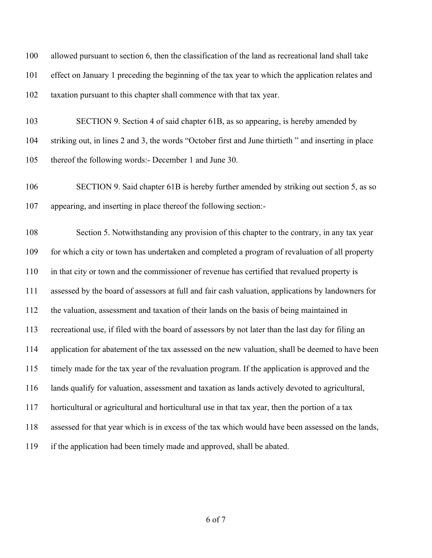| 100 | allowed pursuant to section 6, then the classification of the land as recreational land shall take  |
|-----|-----------------------------------------------------------------------------------------------------|
| 101 | effect on January 1 preceding the beginning of the tax year to which the application relates and    |
| 102 | taxation pursuant to this chapter shall commence with that tax year.                                |
| 103 | SECTION 9. Section 4 of said chapter 61B, as so appearing, is hereby amended by                     |
| 104 | striking out, in lines 2 and 3, the words "October first and June thirtieth" and inserting in place |
| 105 | thereof the following words: December 1 and June 30.                                                |
| 106 | SECTION 9. Said chapter 61B is hereby further amended by striking out section 5, as so              |
| 107 | appearing, and inserting in place thereof the following section:-                                   |
| 108 | Section 5. Notwithstanding any provision of this chapter to the contrary, in any tax year           |
| 109 | for which a city or town has undertaken and completed a program of revaluation of all property      |
| 110 | in that city or town and the commissioner of revenue has certified that revalued property is        |
| 111 | assessed by the board of assessors at full and fair cash valuation, applications by landowners for  |
| 112 | the valuation, assessment and taxation of their lands on the basis of being maintained in           |
| 113 | recreational use, if filed with the board of assessors by not later than the last day for filing an |
| 114 | application for abatement of the tax assessed on the new valuation, shall be deemed to have been    |
|     | 115 timely made for the tax year of the revaluation program. If the application is approved and the |
| 116 | lands qualify for valuation, assessment and taxation as lands actively devoted to agricultural,     |
| 117 | horticultural or agricultural and horticultural use in that tax year, then the portion of a tax     |
| 118 | assessed for that year which is in excess of the tax which would have been assessed on the lands,   |
| 119 | if the application had been timely made and approved, shall be abated.                              |